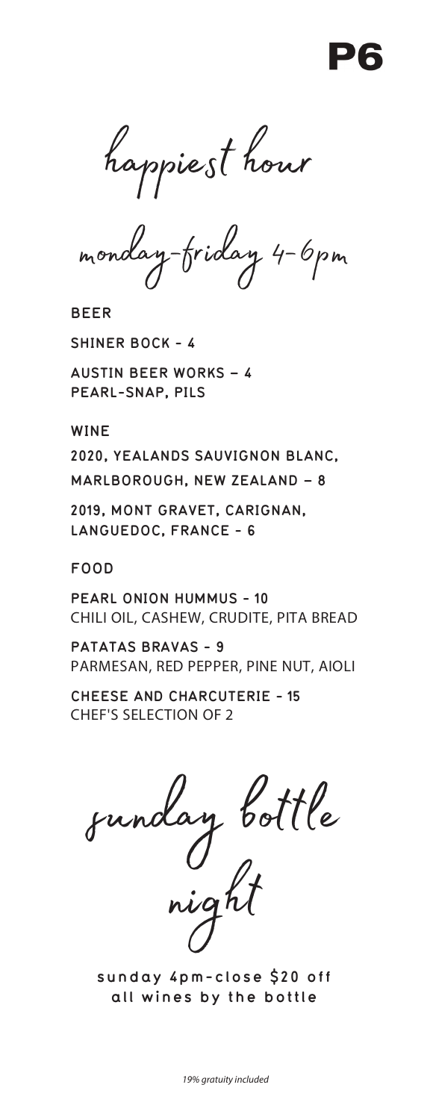happiest hour

monday-friday 4-6pm

**BEER**

**SHINER BOCK - 4**

**AUSTIN BEER WORKS – 4 PEARL-SNAP, PILS** 

**WINE**

**2020, YEALANDS SAUVIGNON BLANC, MARLBOROUGH, NEW ZEALAND – 8**

**2019, MONT GRAVET, CARIGNAN, LANGUEDOC, FRANCE - 6**

**FOOD**

**PEARL ONION HUMMUS - 10** CHILI OIL, CASHEW, CRUDITE, PITA BREAD

**PATATAS BRAVAS - 9** PARMESAN, RED PEPPER, PINE NUT, AIOLI

**CHEESE AND CHARCUTERIE - 15** CHEF'S SELECTION OF 2

sunday bottle

night

**sunday 4pm-close \$20 off all wines by the bottle**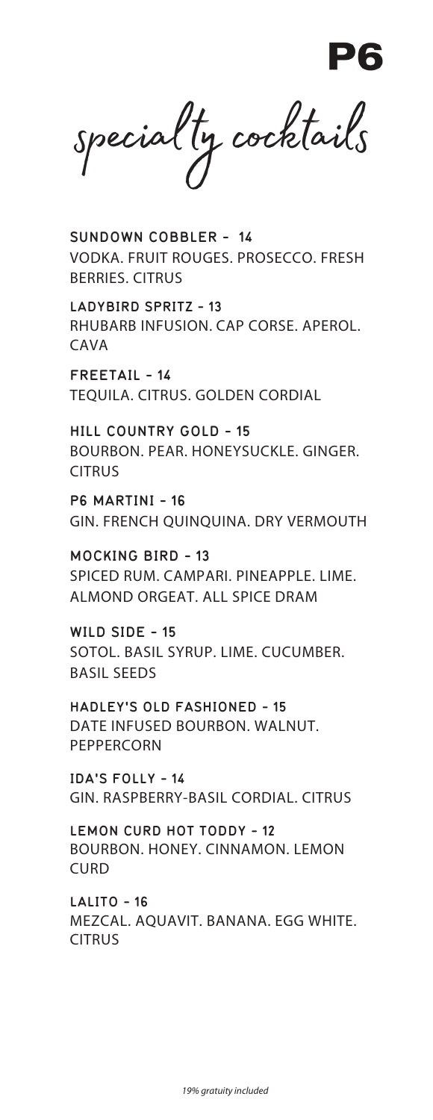specialty cocktails

**SUNDOWN COBBLER - 14** VODKA. FRUIT ROUGES. PROSECCO. FRESH BERRIES. CITRUS

**LADYBIRD SPRITZ - 13** RHUBARB INFUSION. CAP CORSE. APEROL. CAVA

**FREETAIL - 14** TEQUILA. CITRUS. GOLDEN CORDIAL

**HILL COUNTRY GOLD - 15** BOURBON. PEAR. HONEYSUCKLE. GINGER. CITRUS

**P6 MARTINI - 16** GIN. FRENCH QUINQUINA. DRY VERMOUTH

**MOCKING BIRD - 13** SPICED RUM. CAMPARI. PINEAPPLE. LIME. ALMOND ORGEAT. ALL SPICE DRAM

**WILD SIDE - 15** SOTOL. BASIL SYRUP. LIME. CUCUMBER. BASIL SEEDS

**HADLEY'S OLD FASHIONED - 15**  DATE INFUSED BOURBON. WALNUT. PEPPERCORN

**IDA'S FOLLY - 14** GIN. RASPBERRY-BASIL CORDIAL. CITRUS

**LEMON CURD HOT TODDY - 12** BOURBON. HONEY. CINNAMON. LEMON CURD

**LALITO - 16** MEZCAL. AQUAVIT. BANANA. EGG WHITE. **CITRUS**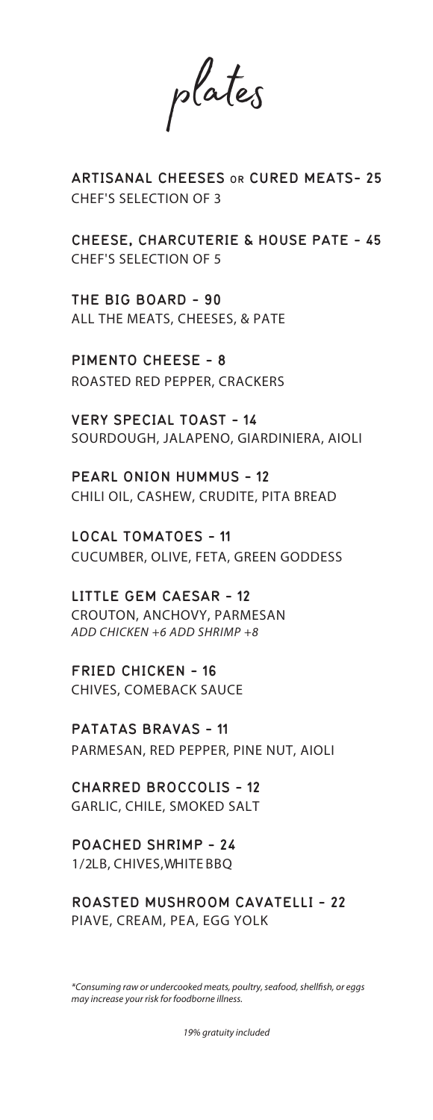plates

**ARTISANAL CHEESES OR CURED MEATS- 25** CHEF'S SELECTION OF 3

**CHEESE, CHARCUTERIE & HOUSE PATE - 45** CHEF'S SELECTION OF 5

**THE BIG BOARD - 90** ALL THE MEATS, CHEESES, & PATE

**PIMENTO CHEESE - 8** ROASTED RED PEPPER, CRACKERS

**VERY SPECIAL TOAST - 14** SOURDOUGH, JALAPENO, GIARDINIERA, AIOLI

**PEARL ONION HUMMUS - 12**  CHILI OIL, CASHEW, CRUDITE, PITA BREAD

**LOCAL TOMATOES - 11** CUCUMBER, OLIVE, FETA, GREEN GODDESS

**LITTLE GEM CAESAR - 12** CROUTON, ANCHOVY, PARMESAN *ADD CHICKEN +6* ADD SHRIMP +8

**FRIED CHICKEN - 16** CHIVES, COMEBACK SAUCE

**PATATAS BRAVAS - 11** PARMESAN, RED PEPPER, PINE NUT, AIOLI

**CHARRED BROCCOLIS - 12** GARLIC, CHILE, SMOKED SALT

**POACHED SHRIMP - 24** 1/2LB, CHIVES, WHITE BBQ

**ROASTED MUSHROOM CAVATELLI - 22** PIAVE, CREAM, PEA, EGG YOLK

*\*Consuming raw or undercooked meats, poultry, seafood, shellfish, or eggs may increase your risk for foodborne illness.*

*1*9*% gratuity included*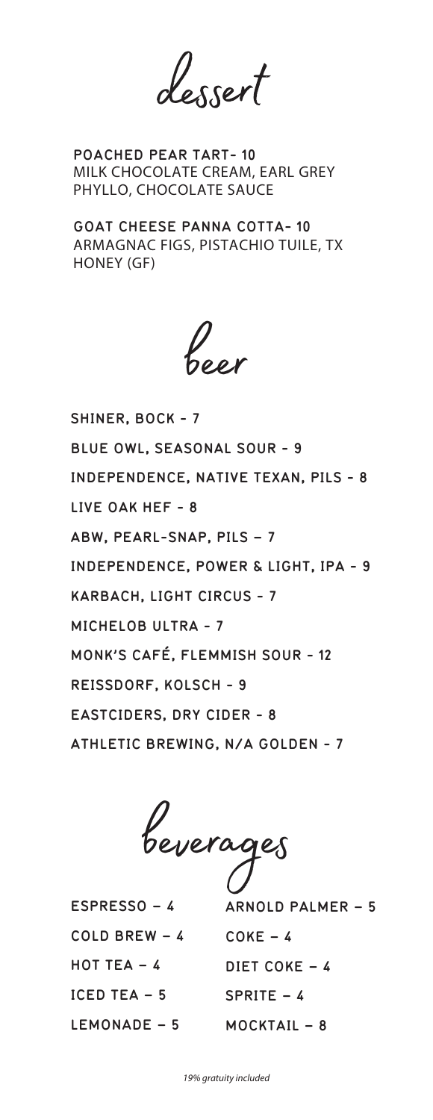dessert

**POACHED PEAR TART- 10** MILK CHOCOLATE CREAM, EARL GREY PHYLLO, CHOCOLATE SAUCE

**GOAT CHEESE PANNA COTTA- 10** ARMAGNAC FIGS, PISTACHIO TUILE, TX HONEY (GF)

beer

**SHINER, BOCK - 7 BLUE OWL, SEASONAL SOUR - 9 INDEPENDENCE, NATIVE TEXAN, PILS - 8 LIVE OAK HEF - 8 ABW, PEARL-SNAP, PILS – 7 INDEPENDENCE, POWER & LIGHT, IPA - 9 KARBACH, LIGHT CIRCUS - 7 MICHELOB ULTRA - 7 MONK'S CAFÉ, FLEMMISH SOUR - 12 REISSDORF, KOLSCH - 9 EASTCIDERS, DRY CIDER - 8 ATHLETIC BREWING, N/A GOLDEN - 7**

beverages

**ESPRESSO – 4 COLD BREW – 4 HOT TEA – 4 ICED TEA – 5 LEMONADE – 5**

**ARNOLD PALMER – 5 COKE – 4 DIET COKE – 4 SPRITE – 4 MOCKTAIL – 8**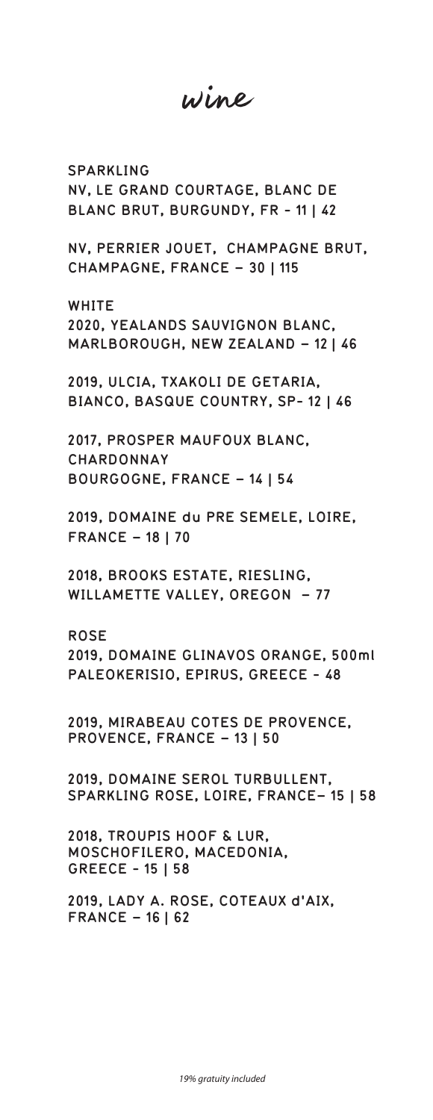wine

**SPARKLING NV, LE GRAND COURTAGE, BLANC DE BLANC BRUT, BURGUNDY, FR - 11 | 42**

**NV, PERRIER JOUET, CHAMPAGNE BRUT, CHAMPAGNE, FRANCE – 30 | 115**

**WHITE 2020, YEALANDS SAUVIGNON BLANC, MARLBOROUGH, NEW ZEALAND – 12 | 46**

**2019, ULCIA, TXAKOLI DE GETARIA, BIANCO, BASQUE COUNTRY, SP- 12 | 46**

**2017, PROSPER MAUFOUX BLANC, CHARDONNAY BOURGOGNE, FRANCE – 14 | 54**

**2019, DOMAINE du PRE SEMELE, LOIRE, FRANCE – 18 | 70**

**2018, BROOKS ESTATE, RIESLING, WILLAMETTE VALLEY, OREGON – 77**

**ROSE 2019, DOMAINE GLINAVOS ORANGE, 500ml PALEOKERISIO, EPIRUS, GREECE - 48**

**2019, MIRABEAU COTES DE PROVENCE, PROVENCE, FRANCE – 13 | 50**

**2019, DOMAINE SEROL TURBULLENT, SPARKLING ROSE, LOIRE, FRANCE– 15 | 58**

**2018, TROUPIS HOOF & LUR, MOSCHOFILERO, MACEDONIA, GREECE - 15 | 58**

**2019, LADY A. ROSE, COTEAUX d'AIX, FRANCE – 16 | 62**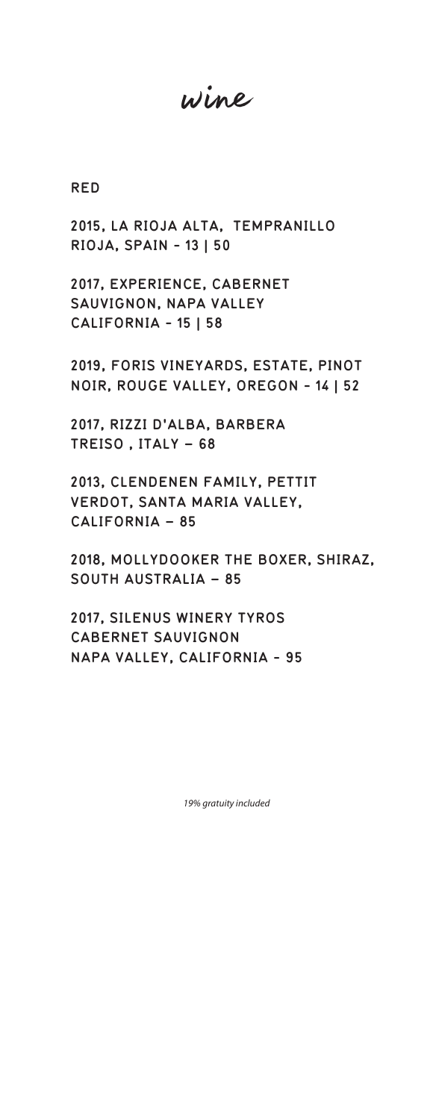wine

**RED** 

**2015, LA RIOJA ALTA, TEMPRANILLO RIOJA, SPAIN - 13 | 50**

**2017, EXPERIENCE, CABERNET SAUVIGNON, NAPA VALLEY CALIFORNIA - 15 | 58**

**2019, FORIS VINEYARDS, ESTATE, PINOT NOIR, ROUGE VALLEY, OREGON - 14 | 52**

**2017, RIZZI D'ALBA, BARBERA TREISO , ITALY – 68**

**2013, CLENDENEN FAMILY, PETTIT VERDOT, SANTA MARIA VALLEY, CALIFORNIA – 85**

**2018, MOLLYDOOKER THE BOXER, SHIRAZ, SOUTH AUSTRALIA – 85**

**2017, SILENUS WINERY TYROS CABERNET SAUVIGNON NAPA VALLEY, CALIFORNIA - 95**

*1*9*% gratuity included*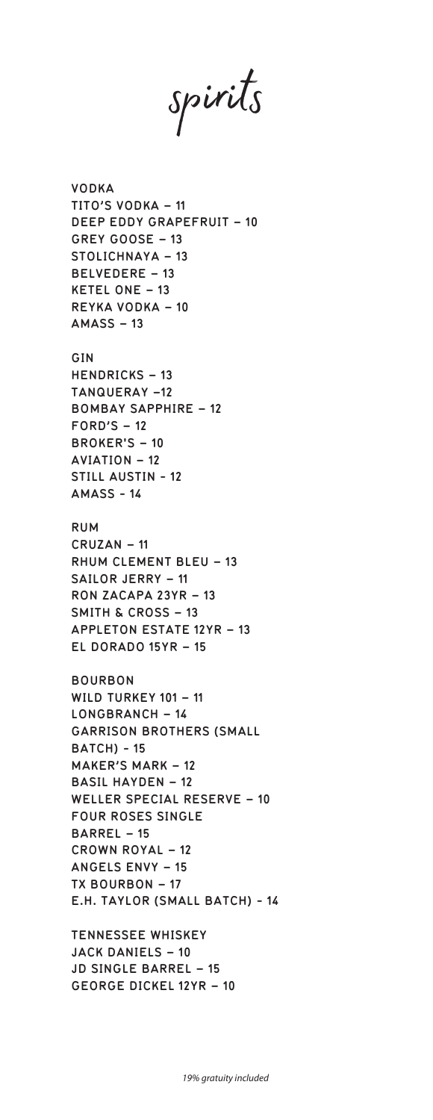spirits

**VODKA TITO'S VODKA – 11 DEEP EDDY GRAPEFRUIT – 10 GREY GOOSE – 13 STOLICHNAYA – 13 BELVEDERE – 13 KETEL ONE – 13 REYKA VODKA – 10 AMASS – 13 GIN HENDRICKS – 13 TANQUERAY –12 BOMBAY SAPPHIRE – 12 FORD'S – 12 BROKER'S – 10 AVIATION – 12 STILL AUSTIN - 12 AMASS - 14 RUM CRUZAN – 11 RHUM CLEMENT BLEU – 13 SAILOR JERRY – 11 RON ZACAPA 23YR – 13 SMITH & CROSS – 13 APPLETON ESTATE 12YR – 13 EL DORADO 15YR – 15 BOURBON WILD TURKEY 101 – 11 LONGBRANCH – 14 GARRISON BROTHERS (SMALL BATCH) - 15 MAKER'S MARK – 12 BASIL HAYDEN – 12 WELLER SPECIAL RESERVE – 10 FOUR ROSES SINGLE BARREL – 15 CROWN ROYAL – 12 ANGELS ENVY – 15 TX BOURBON – 17 E.H. TAYLOR (SMALL BATCH) - 14**

**TENNESSEE WHISKEY JACK DANIELS – 10 JD SINGLE BARREL – 15 GEORGE DICKEL 12YR – 10**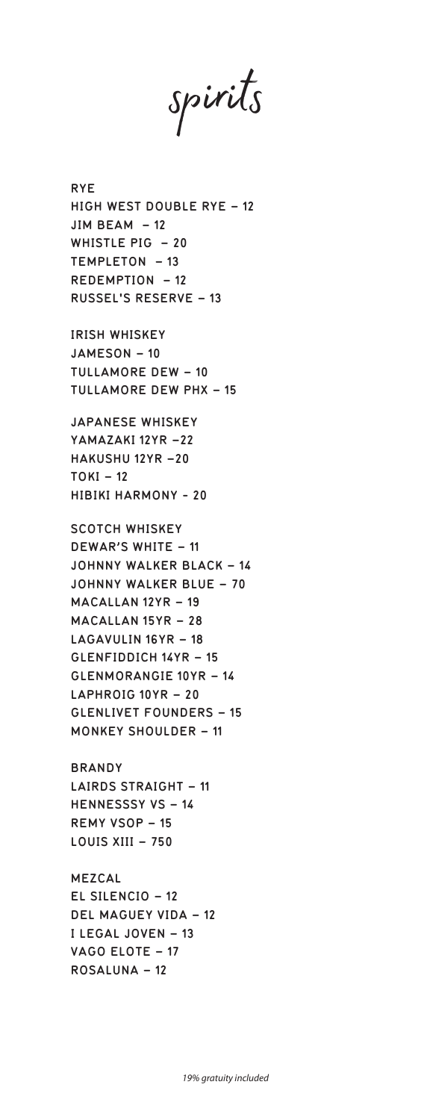spirits

**RYE HIGH WEST DOUBLE RYE – 12 JIM BEAM – 12 WHISTLE PIG – 20 TEMPLETON – 13 REDEMPTION – 12 RUSSEL'S RESERVE – 13**

**IRISH WHISKEY JAMESON – 10 TULLAMORE DEW – 10 TULLAMORE DEW PHX – 15**

**JAPANESE WHISKEY YAMAZAKI 12YR –22 HAKUSHU 12YR –20 TOKI – 12 HIBIKI HARMONY - 20**

**SCOTCH WHISKEY DEWAR'S WHITE – 11 JOHNNY WALKER BLACK – 14 JOHNNY WALKER BLUE – 70 MACALLAN 12YR – 19 MACALLAN 15YR – 28 LAGAVULIN 16YR – 18 GLENFIDDICH 14YR – 15 GLENMORANGIE 10YR – 14 LAPHROIG 10YR – 20 GLENLIVET FOUNDERS – 15 MONKEY SHOULDER – 11**

**BRANDY LAIRDS STRAIGHT – 11 HENNESSSY VS – 14 REMY VSOP – 15 LOUIS XIII – 750**

**MEZCAL EL SILENCIO – 12 DEL MAGUEY VIDA – 12 I LEGAL JOVEN – 13 VAGO ELOTE – 17 ROSALUNA – 12**